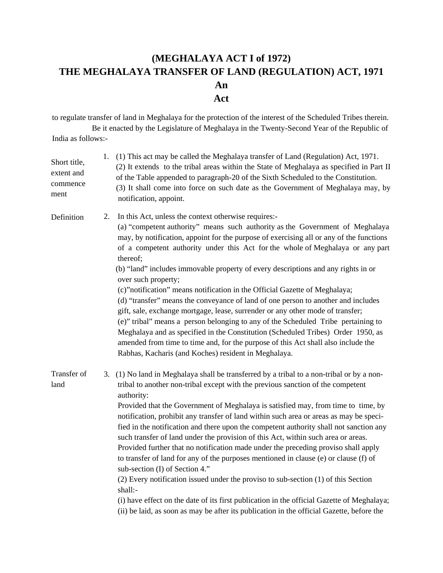## **(MEGHALAYA ACT I of 1972) THE MEGHALAYA TRANSFER OF LAND (REGULATION) ACT, 1971 An Act**

to regulate transfer of land in Meghalaya for the protection of the interest of the Scheduled Tribes therein. Be it enacted by the Legislature of Meghalaya in the Twenty-Second Year of the Republic of India as follows:-

| Short title,<br>extent and<br>commence<br>ment | 1. | (1) This act may be called the Meghalaya transfer of Land (Regulation) Act, 1971.<br>(2) It extends to the tribal areas within the State of Meghalaya as specified in Part II<br>of the Table appended to paragraph-20 of the Sixth Scheduled to the Constitution.<br>(3) It shall come into force on such date as the Government of Meghalaya may, by<br>notification, appoint.                                                                                                                                                                                                                                                                                                                                                                                                                                                                                                                                                                                                                                                                                     |
|------------------------------------------------|----|----------------------------------------------------------------------------------------------------------------------------------------------------------------------------------------------------------------------------------------------------------------------------------------------------------------------------------------------------------------------------------------------------------------------------------------------------------------------------------------------------------------------------------------------------------------------------------------------------------------------------------------------------------------------------------------------------------------------------------------------------------------------------------------------------------------------------------------------------------------------------------------------------------------------------------------------------------------------------------------------------------------------------------------------------------------------|
| Definition                                     | 2. | In this Act, unless the context otherwise requires:-<br>(a) "competent authority" means such authority as the Government of Meghalaya<br>may, by notification, appoint for the purpose of exercising all or any of the functions<br>of a competent authority under this Act for the whole of Meghalaya or any part<br>thereof;<br>(b) "land" includes immovable property of every descriptions and any rights in or<br>over such property;<br>(c)"notification" means notification in the Official Gazette of Meghalaya;<br>(d) "transfer" means the conveyance of land of one person to another and includes<br>gift, sale, exchange mortgage, lease, surrender or any other mode of transfer;<br>(e)" tribal" means a person belonging to any of the Scheduled Tribe pertaining to<br>Meghalaya and as specified in the Constitution (Scheduled Tribes) Order 1950, as<br>amended from time to time and, for the purpose of this Act shall also include the<br>Rabhas, Kacharis (and Koches) resident in Meghalaya.                                                |
| Transfer of<br>land                            |    | 3. (1) No land in Meghalaya shall be transferred by a tribal to a non-tribal or by a non-<br>tribal to another non-tribal except with the previous sanction of the competent<br>authority:<br>Provided that the Government of Meghalaya is satisfied may, from time to time, by<br>notification, prohibit any transfer of land within such area or areas as may be speci-<br>fied in the notification and there upon the competent authority shall not sanction any<br>such transfer of land under the provision of this Act, within such area or areas.<br>Provided further that no notification made under the preceding proviso shall apply<br>to transfer of land for any of the purposes mentioned in clause (e) or clause (f) of<br>sub-section (I) of Section 4."<br>(2) Every notification issued under the proviso to sub-section (1) of this Section<br>shall:-<br>(i) have effect on the date of its first publication in the official Gazette of Meghalaya;<br>(ii) be laid, as soon as may be after its publication in the official Gazette, before the |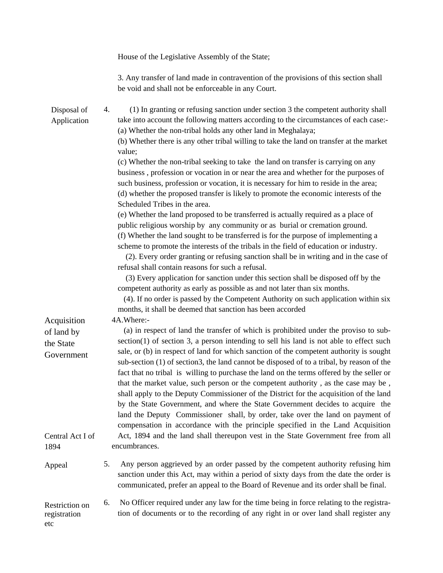|                                                      | House of the Legislative Assembly of the State;                                                                                                                                                                                                                                                                                                                                                                                                                                                                                                                                                                                                                                                                                                                                                                                                                                                                             |
|------------------------------------------------------|-----------------------------------------------------------------------------------------------------------------------------------------------------------------------------------------------------------------------------------------------------------------------------------------------------------------------------------------------------------------------------------------------------------------------------------------------------------------------------------------------------------------------------------------------------------------------------------------------------------------------------------------------------------------------------------------------------------------------------------------------------------------------------------------------------------------------------------------------------------------------------------------------------------------------------|
|                                                      | 3. Any transfer of land made in contravention of the provisions of this section shall<br>be void and shall not be enforceable in any Court.                                                                                                                                                                                                                                                                                                                                                                                                                                                                                                                                                                                                                                                                                                                                                                                 |
| Disposal of<br>Application                           | (1) In granting or refusing sanction under section 3 the competent authority shall<br>4.<br>take into account the following matters according to the circumstances of each case:-<br>(a) Whether the non-tribal holds any other land in Meghalaya;<br>(b) Whether there is any other tribal willing to take the land on transfer at the market<br>value;                                                                                                                                                                                                                                                                                                                                                                                                                                                                                                                                                                    |
|                                                      | (c) Whether the non-tribal seeking to take the land on transfer is carrying on any<br>business, profession or vocation in or near the area and whether for the purposes of<br>such business, profession or vocation, it is necessary for him to reside in the area;<br>(d) whether the proposed transfer is likely to promote the economic interests of the<br>Scheduled Tribes in the area.                                                                                                                                                                                                                                                                                                                                                                                                                                                                                                                                |
|                                                      | (e) Whether the land proposed to be transferred is actually required as a place of<br>public religious worship by any community or as burial or cremation ground.<br>(f) Whether the land sought to be transferred is for the purpose of implementing a<br>scheme to promote the interests of the tribals in the field of education or industry.<br>(2). Every order granting or refusing sanction shall be in writing and in the case of<br>refusal shall contain reasons for such a refusal.                                                                                                                                                                                                                                                                                                                                                                                                                              |
|                                                      | (3) Every application for sanction under this section shall be disposed off by the<br>competent authority as early as possible as and not later than six months.<br>(4). If no order is passed by the Competent Authority on such application within six<br>months, it shall be deemed that sanction has been accorded                                                                                                                                                                                                                                                                                                                                                                                                                                                                                                                                                                                                      |
| Acquisition<br>of land by<br>the State<br>Government | 4A.Where:-<br>(a) in respect of land the transfer of which is prohibited under the proviso to sub-<br>$section(1)$ of section 3, a person intending to sell his land is not able to effect such<br>sale, or (b) in respect of land for which sanction of the competent authority is sought<br>sub-section (1) of section3, the land cannot be disposed of to a tribal, by reason of the<br>fact that no tribal is willing to purchase the land on the terms offered by the seller or<br>that the market value, such person or the competent authority, as the case may be,<br>shall apply to the Deputy Commissioner of the District for the acquisition of the land<br>by the State Government, and where the State Government decides to acquire the<br>land the Deputy Commissioner shall, by order, take over the land on payment of<br>compensation in accordance with the principle specified in the Land Acquisition |
| Central Act I of<br>1894                             | Act, 1894 and the land shall thereupon vest in the State Government free from all<br>encumbrances.                                                                                                                                                                                                                                                                                                                                                                                                                                                                                                                                                                                                                                                                                                                                                                                                                          |
| Appeal                                               | 5.<br>Any person aggrieved by an order passed by the competent authority refusing him<br>sanction under this Act, may within a period of sixty days from the date the order is<br>communicated, prefer an appeal to the Board of Revenue and its order shall be final.                                                                                                                                                                                                                                                                                                                                                                                                                                                                                                                                                                                                                                                      |
| Restriction on<br>registration<br>etc                | No Officer required under any law for the time being in force relating to the registra-<br>6.<br>tion of documents or to the recording of any right in or over land shall register any                                                                                                                                                                                                                                                                                                                                                                                                                                                                                                                                                                                                                                                                                                                                      |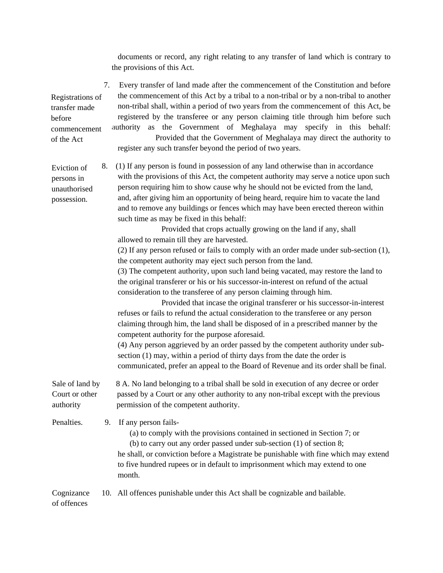documents or record, any right relating to any transfer of land which is contrary to the provisions of this Act.

 7. Every transfer of land made after the commencement of the Constitution and before Registrations of transfer made commencement of the Act the commencement of this Act by a tribal to a non-tribal or by a non-tribal to another non-tribal shall, within a period of two years from the commencement of this Act, be registered by the transferee or any person claiming title through him before such authority as the Government of Meghalaya may specify in this behalf: Provided that the Government of Meghalaya may direct the authority to register any such transfer beyond the period of two years.

Eviction of 8. (1) If any person is found in possession of any land otherwise than in accordance persons in with the provisions of this Act, the competent authority may serve a notice upon such unauthorised person requiring him to show cause why he should not be evicted from the land, possession. and, after giving him an opportunity of being heard, require him to vacate the land and to remove any buildings or fences which may have been erected thereon within such time as may be fixed in this behalf:

> Provided that crops actually growing on the land if any, shall allowed to remain till they are harvested.

(2) If any person refused or fails to comply with an order made under sub-section (1), the competent authority may eject such person from the land.

 (3) The competent authority, upon such land being vacated, may restore the land to the original transferer or his or his successor-in-interest on refund of the actual consideration to the transferee of any person claiming through him.

 Provided that incase the original transferer or his successor-in-interest refuses or fails to refund the actual consideration to the transferee or any person claiming through him, the land shall be disposed of in a prescribed manner by the competent authority for the purpose aforesaid.

(4) Any person aggrieved by an order passed by the competent authority under sub section (1) may, within a period of thirty days from the date the order is communicated, prefer an appeal to the Board of Revenue and its order shall be final.

Sale of land by 8 A. No land belonging to a tribal shall be sold in execution of any decree or order Court or other passed by a Court or any other authority to any non-tribal except with the previous authority permission of the competent authority.

Penalties. 9. If any person fails-

before

(a) to comply with the provisions contained in sectioned in Section 7; or

(b) to carry out any order passed under sub-section (1) of section 8;

 he shall, or conviction before a Magistrate be punishable with fine which may extend to five hundred rupees or in default to imprisonment which may extend to one month.

Cognizance 10. All offences punishable under this Act shall be cognizable and bailable. of offences